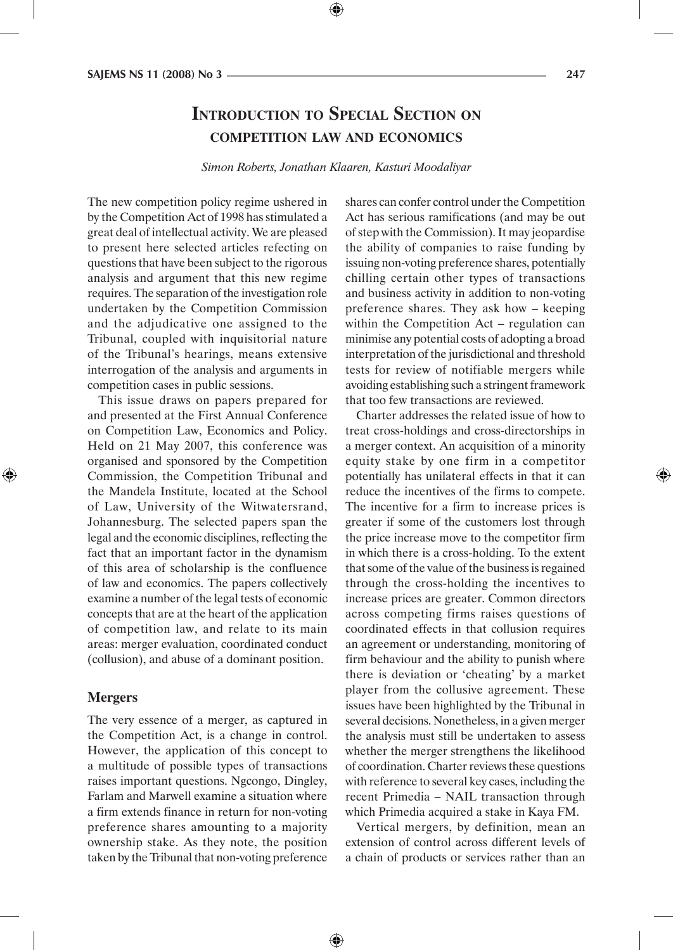## **Introduction to Special Section on competition law and economics**

*Simon Roberts, Jonathan Klaaren, Kasturi Moodaliyar*

The new competition policy regime ushered in by the Competition Act of 1998 has stimulated a great deal of intellectual activity. We are pleased to present here selected articles refecting on questions that have been subject to the rigorous analysis and argument that this new regime requires. The separation of the investigation role undertaken by the Competition Commission and the adjudicative one assigned to the Tribunal, coupled with inquisitorial nature of the Tribunal's hearings, means extensive interrogation of the analysis and arguments in competition cases in public sessions.

This issue draws on papers prepared for and presented at the First Annual Conference on Competition Law, Economics and Policy. Held on 21 May 2007, this conference was organised and sponsored by the Competition Commission, the Competition Tribunal and the Mandela Institute, located at the School of Law, University of the Witwatersrand, Johannesburg. The selected papers span the legal and the economic disciplines, reflecting the fact that an important factor in the dynamism of this area of scholarship is the confluence of law and economics. The papers collectively examine a number of the legal tests of economic concepts that are at the heart of the application of competition law, and relate to its main areas: merger evaluation, coordinated conduct (collusion), and abuse of a dominant position.

## **Mergers**

⊕

The very essence of a merger, as captured in the Competition Act, is a change in control. However, the application of this concept to a multitude of possible types of transactions raises important questions. Ngcongo, Dingley, Farlam and Marwell examine a situation where a firm extends finance in return for non-voting preference shares amounting to a majority ownership stake. As they note, the position taken by the Tribunal that non-voting preference

shares can confer control under the Competition Act has serious ramifications (and may be out of step with the Commission). It may jeopardise the ability of companies to raise funding by issuing non-voting preference shares, potentially chilling certain other types of transactions and business activity in addition to non-voting preference shares. They ask how – keeping within the Competition Act – regulation can minimise any potential costs of adopting a broad interpretation of the jurisdictional and threshold tests for review of notifiable mergers while avoiding establishing such a stringent framework that too few transactions are reviewed.

Charter addresses the related issue of how to treat cross-holdings and cross-directorships in a merger context. An acquisition of a minority equity stake by one firm in a competitor potentially has unilateral effects in that it can reduce the incentives of the firms to compete. The incentive for a firm to increase prices is greater if some of the customers lost through the price increase move to the competitor firm in which there is a cross-holding. To the extent that some of the value of the business is regained through the cross-holding the incentives to increase prices are greater. Common directors across competing firms raises questions of coordinated effects in that collusion requires an agreement or understanding, monitoring of firm behaviour and the ability to punish where there is deviation or 'cheating' by a market player from the collusive agreement. These issues have been highlighted by the Tribunal in several decisions. Nonetheless, in a given merger the analysis must still be undertaken to assess whether the merger strengthens the likelihood of coordination. Charter reviews these questions with reference to several key cases, including the recent Primedia – NAIL transaction through which Primedia acquired a stake in Kaya FM.

Vertical mergers, by definition, mean an extension of control across different levels of a chain of products or services rather than an

⊕